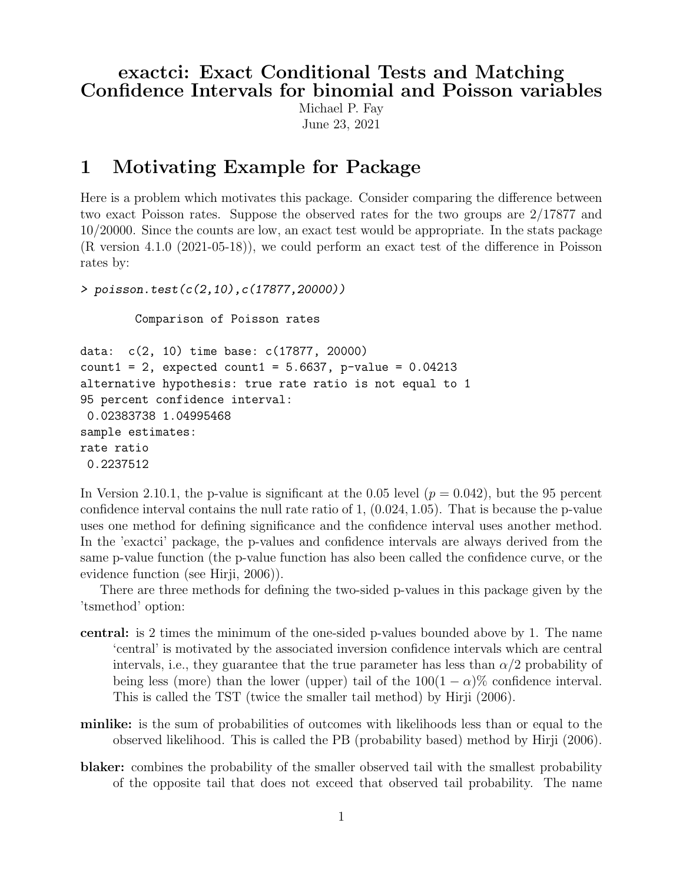## exactci: Exact Conditional Tests and Matching Confidence Intervals for binomial and Poisson variables

Michael P. Fay June 23, 2021

## 1 Motivating Example for Package

Here is a problem which motivates this package. Consider comparing the difference between two exact Poisson rates. Suppose the observed rates for the two groups are 2/17877 and 10/20000. Since the counts are low, an exact test would be appropriate. In the stats package (R version 4.1.0 (2021-05-18)), we could perform an exact test of the difference in Poisson rates by:

```
> poisson.test(c(2,10),c(17877,20000))
```
Comparison of Poisson rates

```
data: c(2, 10) time base: c(17877, 20000)
count1 = 2, expected count1 = 5.6637, p-value = 0.04213
alternative hypothesis: true rate ratio is not equal to 1
95 percent confidence interval:
0.02383738 1.04995468
sample estimates:
rate ratio
0.2237512
```
In Version 2.10.1, the p-value is significant at the 0.05 level  $(p = 0.042)$ , but the 95 percent confidence interval contains the null rate ratio of 1, (0.024, 1.05). That is because the p-value uses one method for defining significance and the confidence interval uses another method. In the 'exactci' package, the p-values and confidence intervals are always derived from the same p-value function (the p-value function has also been called the confidence curve, or the evidence function (see Hirji, 2006)).

There are three methods for defining the two-sided p-values in this package given by the 'tsmethod' option:

- central: is 2 times the minimum of the one-sided p-values bounded above by 1. The name 'central' is motivated by the associated inversion confidence intervals which are central intervals, i.e., they guarantee that the true parameter has less than  $\alpha/2$  probability of being less (more) than the lower (upper) tail of the  $100(1 - \alpha)\%$  confidence interval. This is called the TST (twice the smaller tail method) by Hirji (2006).
- minlike: is the sum of probabilities of outcomes with likelihoods less than or equal to the observed likelihood. This is called the PB (probability based) method by Hirji (2006).
- blaker: combines the probability of the smaller observed tail with the smallest probability of the opposite tail that does not exceed that observed tail probability. The name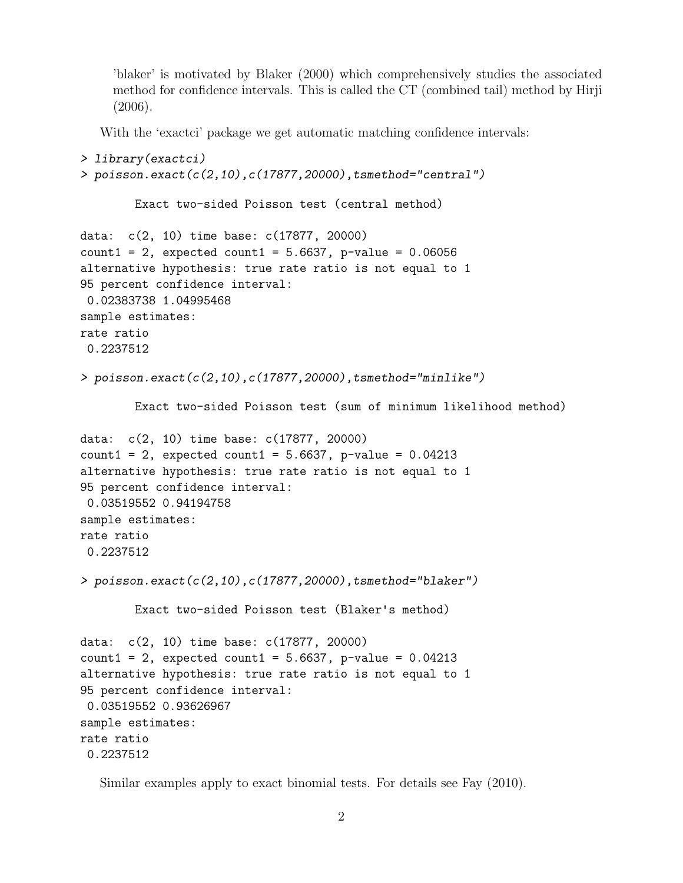'blaker' is motivated by Blaker (2000) which comprehensively studies the associated method for confidence intervals. This is called the CT (combined tail) method by Hirji  $(2006).$ 

With the 'exactci' package we get automatic matching confidence intervals:

```
> library(exactci)
> poisson.exact(c(2,10),c(17877,20000),tsmethod="central")
        Exact two-sided Poisson test (central method)
data: c(2, 10) time base: c(17877, 20000)
count1 = 2, expected count1 = 5.6637, p-value = 0.06056
alternative hypothesis: true rate ratio is not equal to 1
95 percent confidence interval:
0.02383738 1.04995468
sample estimates:
rate ratio
0.2237512
> poisson.exact(c(2,10),c(17877,20000),tsmethod="minlike")
        Exact two-sided Poisson test (sum of minimum likelihood method)
data: c(2, 10) time base: c(17877, 20000)
count1 = 2, expected count1 = 5.6637, p-value = 0.04213
alternative hypothesis: true rate ratio is not equal to 1
95 percent confidence interval:
0.03519552 0.94194758
sample estimates:
rate ratio
0.2237512
> poisson.exact(c(2,10),c(17877,20000),tsmethod="blaker")
        Exact two-sided Poisson test (Blaker's method)
data: c(2, 10) time base: c(17877, 20000)
count1 = 2, expected count1 = 5.6637, p-value = 0.04213
alternative hypothesis: true rate ratio is not equal to 1
95 percent confidence interval:
0.03519552 0.93626967
sample estimates:
rate ratio
0.2237512
```
Similar examples apply to exact binomial tests. For details see Fay (2010).